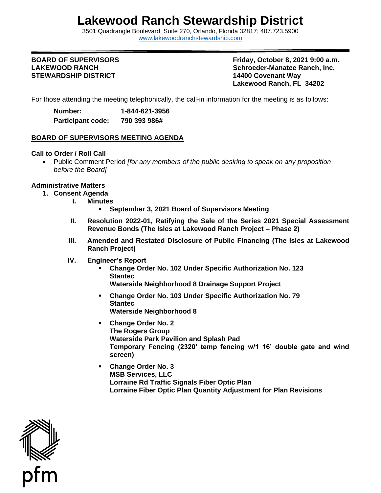## **Lakewood Ranch Stewardship District**

3501 Quadrangle Boulevard, Suite 270, Orlando, Florida 32817; 407.723.5900 [www.lakewoodranchstewardship.com](http://www.lakewoodranchstewardship.com/) 

# **STEWARDSHIP DISTRICT 14400 Covenant Way**

**BOARD OF SUPERVISORS Friday, October 8, 2021 9:00 a.m.**  LAKEWOOD RANCH **Schroeder-Manatee Ranch, Inc. Schroeder-Manatee Ranch, Inc. Lakewood Ranch, FL 34202** 

For those attending the meeting telephonically, the call-in information for the meeting is as follows:

**Number: 1-844-621-3956 Participant code: 790 393 986#** 

### **BOARD OF SUPERVISORS MEETING AGENDA**

#### **Call to Order / Roll Call**

• Public Comment Period *[for any members of the public desiring to speak on any proposition before the Board]* 

#### **Administrative Matters**

- **1. Consent Agenda** 
	- **I. Minutes** 
		- **September 3, 2021 Board of Supervisors Meeting**
	- **II. Resolution 2022-01, Ratifying the Sale of the Series 2021 Special Assessment Revenue Bonds (The Isles at Lakewood Ranch Project – Phase 2)**
	- **III. Amended and Restated Disclosure of Public Financing (The Isles at Lakewood Ranch Project)**
	- **IV. Engineer's Report** 
		- **Change Order No. 102 Under Specific Authorization No. 123 Stantec**

**Waterside Neighborhood 8 Drainage Support Project** 

- **Change Order No. 103 Under Specific Authorization No. 79 Stantec Waterside Neighborhood 8**
- **Temporary Fencing (2320' temp fencing w/1 16' double gate and wind** ▪ **Change Order No. 2 The Rogers Group Waterside Park Pavilion and Splash Pad screen)**
- **Change Order No. 3 MSB Services, LLC Lorraine Rd Traffic Signals Fiber Optic Plan Lorraine Fiber Optic Plan Quantity Adjustment for Plan Revisions**